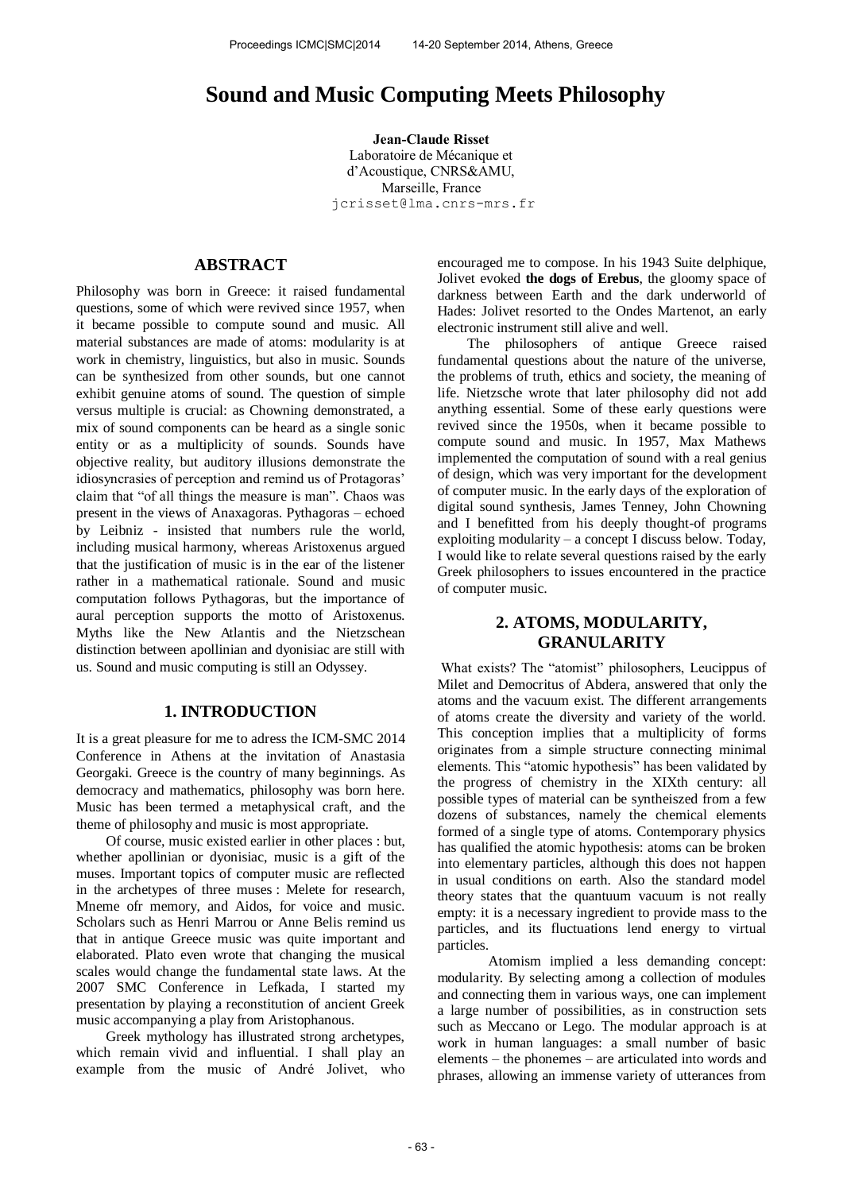# **Sound and Music Computing Meets Philosophy**

**Jean-Claude Risset**  Laboratoire de Mécanique et d'Acoustique, CNRS&AMU, Marseille, France [jcrisset@lma.cnrs-mrs.fr](mailto:jcrisset@lma.cnrs-mrs.fr)

### **ABSTRACT**

Philosophy was born in Greece: it raised fundamental questions, some of which were revived since 1957, when it became possible to compute sound and music. All material substances are made of atoms: modularity is at work in chemistry, linguistics, but also in music. Sounds can be synthesized from other sounds, but one cannot exhibit genuine atoms of sound. The question of simple versus multiple is crucial: as Chowning demonstrated, a mix of sound components can be heard as a single sonic entity or as a multiplicity of sounds. Sounds have objective reality, but auditory illusions demonstrate the idiosyncrasies of perception and remind us of Protagoras' claim that "of all things the measure is man". Chaos was present in the views of Anaxagoras. Pythagoras – echoed by Leibniz - insisted that numbers rule the world, including musical harmony, whereas Aristoxenus argued that the justification of music is in the ear of the listener rather in a mathematical rationale. Sound and music computation follows Pythagoras, but the importance of aural perception supports the motto of Aristoxenus. Myths like the New Atlantis and the Nietzschean distinction between apollinian and dyonisiac are still with us. Sound and music computing is still an Odyssey.

### **1. INTRODUCTION**

It is a great pleasure for me to adress the ICM-SMC 2014 Conference in Athens at the invitation of Anastasia Georgaki. Greece is the country of many beginnings. As democracy and mathematics, philosophy was born here. Music has been termed a metaphysical craft, and the theme of philosophy and music is most appropriate.

Of course, music existed earlier in other places : but, whether apollinian or dyonisiac, music is a gift of the muses. Important topics of computer music are reflected in the archetypes of three muses : Melete for research, Mneme ofr memory, and Aidos, for voice and music. Scholars such as Henri Marrou or Anne Belis remind us that in antique Greece music was quite important and elaborated. Plato even wrote that changing the musical scales would change the fundamental state laws. At the 2007 SMC Conference in Lefkada, I started my presentation by playing a reconstitution of ancient Greek music accompanying a play from Aristophanous.

Greek mythology has illustrated strong archetypes, which remain vivid and influential. I shall play an example from the music of André Jolivet, who encouraged me to compose. In his 1943 Suite delphique, Jolivet evoked **the dogs of Erebus**, the gloomy space of darkness between Earth and the dark underworld of Hades: Jolivet resorted to the Ondes Martenot, an early electronic instrument still alive and well.

The philosophers of antique Greece raised fundamental questions about the nature of the universe, the problems of truth, ethics and society, the meaning of life. Nietzsche wrote that later philosophy did not add anything essential. Some of these early questions were revived since the 1950s, when it became possible to compute sound and music. In 1957, Max Mathews implemented the computation of sound with a real genius of design, which was very important for the development of computer music. In the early days of the exploration of digital sound synthesis, James Tenney, John Chowning and I benefitted from his deeply thought-of programs exploiting modularity – a concept I discuss below. Today, I would like to relate several questions raised by the early Greek philosophers to issues encountered in the practice of computer music.

### **2. ATOMS, MODULARITY, GRANULARITY**

What exists? The "atomist" philosophers, Leucippus of Milet and Democritus of Abdera, answered that only the atoms and the vacuum exist. The different arrangements of atoms create the diversity and variety of the world. This conception implies that a multiplicity of forms originates from a simple structure connecting minimal elements. This "atomic hypothesis" has been validated by the progress of chemistry in the XIXth century: all possible types of material can be syntheiszed from a few dozens of substances, namely the chemical elements formed of a single type of atoms. Contemporary physics has qualified the atomic hypothesis: atoms can be broken into elementary particles, although this does not happen in usual conditions on earth. Also the standard model theory states that the quantuum vacuum is not really empty: it is a necessary ingredient to provide mass to the particles, and its fluctuations lend energy to virtual particles.

 Atomism implied a less demanding concept: modularity. By selecting among a collection of modules and connecting them in various ways, one can implement a large number of possibilities, as in construction sets such as Meccano or Lego. The modular approach is at work in human languages: a small number of basic elements – the phonemes – are articulated into words and phrases, allowing an immense variety of utterances from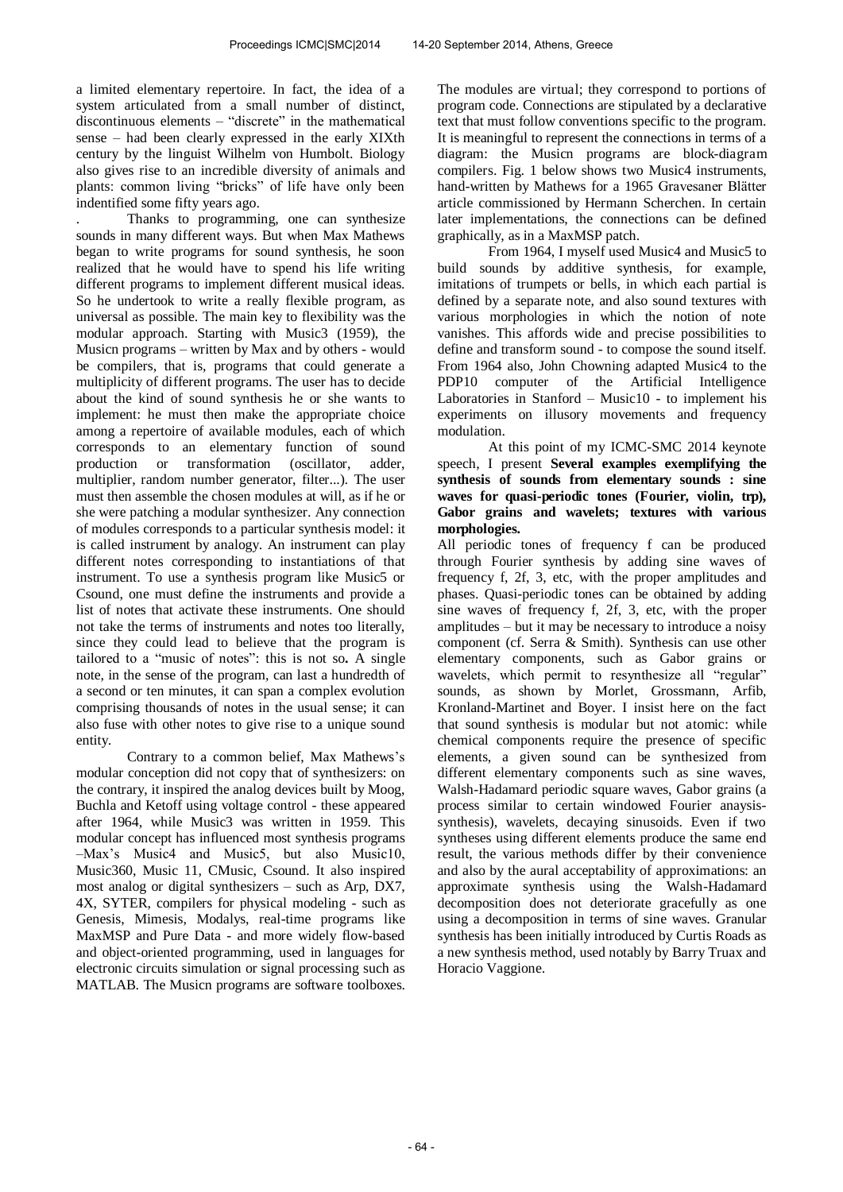a limited elementary repertoire. In fact, the idea of a system articulated from a small number of distinct, discontinuous elements – "discrete" in the mathematical sense – had been clearly expressed in the early XIXth century by the linguist Wilhelm von Humbolt. Biology also gives rise to an incredible diversity of animals and plants: common living "bricks" of life have only been indentified some fifty years ago.

. Thanks to programming, one can synthesize sounds in many different ways. But when Max Mathews began to write programs for sound synthesis, he soon realized that he would have to spend his life writing different programs to implement different musical ideas. So he undertook to write a really flexible program, as universal as possible. The main key to flexibility was the modular approach. Starting with Music3 (1959), the Musicn programs – written by Max and by others - would be compilers, that is, programs that could generate a multiplicity of different programs. The user has to decide about the kind of sound synthesis he or she wants to implement: he must then make the appropriate choice among a repertoire of available modules, each of which corresponds to an elementary function of sound production or transformation (oscillator, adder, multiplier, random number generator, filter...). The user must then assemble the chosen modules at will, as if he or she were patching a modular synthesizer. Any connection of modules corresponds to a particular synthesis model: it is called instrument by analogy. An instrument can play different notes corresponding to instantiations of that instrument. To use a synthesis program like Music5 or Csound, one must define the instruments and provide a list of notes that activate these instruments. One should not take the terms of instruments and notes too literally, since they could lead to believe that the program is tailored to a "music of notes": this is not so**.** A single note, in the sense of the program, can last a hundredth of a second or ten minutes, it can span a complex evolution comprising thousands of notes in the usual sense; it can also fuse with other notes to give rise to a unique sound entity.

 Contrary to a common belief, Max Mathews's modular conception did not copy that of synthesizers: on the contrary, it inspired the analog devices built by Moog, Buchla and Ketoff using voltage control - these appeared after 1964, while Music3 was written in 1959. This modular concept has influenced most synthesis programs –Max's Music4 and Music5, but also Music10, Music360, Music 11, CMusic, Csound. It also inspired most analog or digital synthesizers – such as Arp, DX7, 4X, SYTER, compilers for physical modeling - such as Genesis, Mimesis, Modalys, real-time programs like MaxMSP and Pure Data - and more widely flow-based and object-oriented programming, used in languages for electronic circuits simulation or signal processing such as MATLAB. The Musicn programs are software toolboxes. The modules are virtual; they correspond to portions of program code. Connections are stipulated by a declarative text that must follow conventions specific to the program. It is meaningful to represent the connections in terms of a diagram: the Musicn programs are block-diagram compilers. Fig. 1 below shows two Music4 instruments, hand-written by Mathews for a 1965 Gravesaner Blätter article commissioned by Hermann Scherchen. In certain later implementations, the connections can be defined graphically, as in a MaxMSP patch.

 From 1964, I myself used Music4 and Music5 to build sounds by additive synthesis, for example, imitations of trumpets or bells, in which each partial is defined by a separate note, and also sound textures with various morphologies in which the notion of note vanishes. This affords wide and precise possibilities to define and transform sound - to compose the sound itself. From 1964 also, John Chowning adapted Music4 to the PDP10 computer of the Artificial Intelligence Laboratories in Stanford – Music10 - to implement his experiments on illusory movements and frequency modulation.

 At this point of my ICMC-SMC 2014 keynote speech, I present **Several examples exemplifying the synthesis of sounds from elementary sounds : sine waves for quasi-periodic tones (Fourier, violin, trp), Gabor grains and wavelets; textures with various morphologies.** 

All periodic tones of frequency f can be produced through Fourier synthesis by adding sine waves of frequency f, 2f, 3, etc, with the proper amplitudes and phases. Quasi-periodic tones can be obtained by adding sine waves of frequency f, 2f, 3, etc, with the proper amplitudes – but it may be necessary to introduce a noisy component (cf. Serra & Smith). Synthesis can use other elementary components, such as Gabor grains or wavelets, which permit to resynthesize all "regular" sounds, as shown by Morlet, Grossmann, Arfib, Kronland-Martinet and Boyer. I insist here on the fact that sound synthesis is modular but not atomic: while chemical components require the presence of specific elements, a given sound can be synthesized from different elementary components such as sine waves, Walsh-Hadamard periodic square waves, Gabor grains (a process similar to certain windowed Fourier anaysissynthesis), wavelets, decaying sinusoids. Even if two syntheses using different elements produce the same end result, the various methods differ by their convenience and also by the aural acceptability of approximations: an approximate synthesis using the Walsh-Hadamard decomposition does not deteriorate gracefully as one using a decomposition in terms of sine waves. Granular synthesis has been initially introduced by Curtis Roads as a new synthesis method, used notably by Barry Truax and Horacio Vaggione.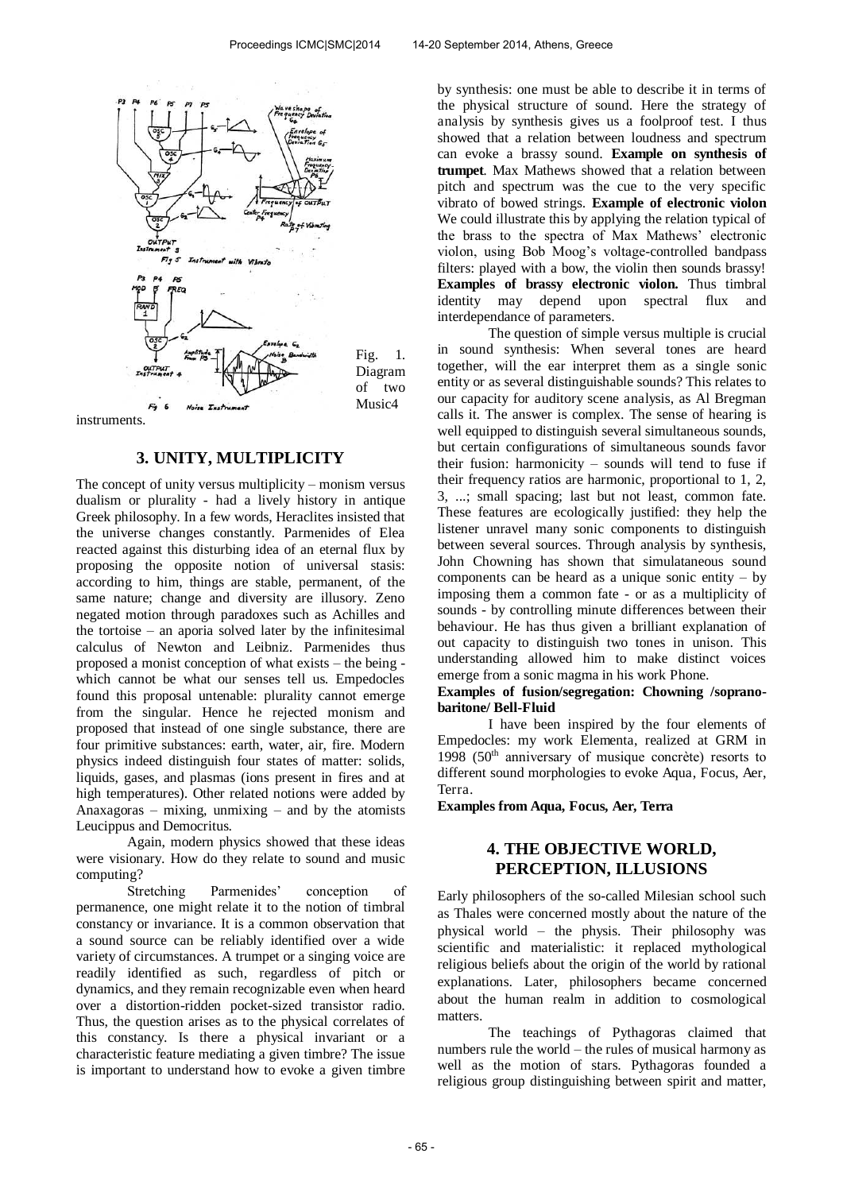

instruments.

### **3. UNITY, MULTIPLICITY**

The concept of unity versus multiplicity – monism versus dualism or plurality - had a lively history in antique Greek philosophy. In a few words, Heraclites insisted that the universe changes constantly. Parmenides of Elea reacted against this disturbing idea of an eternal flux by proposing the opposite notion of universal stasis: according to him, things are stable, permanent, of the same nature; change and diversity are illusory. Zeno negated motion through paradoxes such as Achilles and the tortoise – an aporia solved later by the infinitesimal calculus of Newton and Leibniz. Parmenides thus proposed a monist conception of what exists – the being which cannot be what our senses tell us. Empedocles found this proposal untenable: plurality cannot emerge from the singular. Hence he rejected monism and proposed that instead of one single substance, there are four primitive substances: earth, water, air, fire. Modern physics indeed distinguish four states of matter: solids, liquids, gases, and plasmas (ions present in fires and at high temperatures). Other related notions were added by Anaxagoras – mixing, unmixing – and by the atomists Leucippus and Democritus.

 Again, modern physics showed that these ideas were visionary. How do they relate to sound and music computing?

Stretching Parmenides' conception of permanence, one might relate it to the notion of timbral constancy or invariance. It is a common observation that a sound source can be reliably identified over a wide variety of circumstances. A trumpet or a singing voice are readily identified as such, regardless of pitch or dynamics, and they remain recognizable even when heard over a distortion-ridden pocket-sized transistor radio. Thus, the question arises as to the physical correlates of this constancy. Is there a physical invariant or a characteristic feature mediating a given timbre? The issue is important to understand how to evoke a given timbre

by synthesis: one must be able to describe it in terms of the physical structure of sound. Here the strategy of analysis by synthesis gives us a foolproof test. I thus showed that a relation between loudness and spectrum can evoke a brassy sound. **Example on synthesis of trumpet**. Max Mathews showed that a relation between pitch and spectrum was the cue to the very specific vibrato of bowed strings. **Example of electronic violon**  We could illustrate this by applying the relation typical of the brass to the spectra of Max Mathews' electronic violon, using Bob Moog's voltage-controlled bandpass filters: played with a bow, the violin then sounds brassy! **Examples of brassy electronic violon.** Thus timbral identity may depend upon spectral flux and interdependance of parameters.

 The question of simple versus multiple is crucial in sound synthesis: When several tones are heard together, will the ear interpret them as a single sonic entity or as several distinguishable sounds? This relates to our capacity for auditory scene analysis, as Al Bregman calls it. The answer is complex. The sense of hearing is well equipped to distinguish several simultaneous sounds, but certain configurations of simultaneous sounds favor their fusion: harmonicity – sounds will tend to fuse if their frequency ratios are harmonic, proportional to 1, 2, 3, ...; small spacing; last but not least, common fate. These features are ecologically justified: they help the listener unravel many sonic components to distinguish between several sources. Through analysis by synthesis, John Chowning has shown that simulataneous sound components can be heard as a unique sonic entity – by imposing them a common fate - or as a multiplicity of sounds - by controlling minute differences between their behaviour. He has thus given a brilliant explanation of out capacity to distinguish two tones in unison. This understanding allowed him to make distinct voices emerge from a sonic magma in his work Phone.

#### **Examples of fusion/segregation: Chowning /sopranobaritone/ Bell-Fluid**

 I have been inspired by the four elements of Empedocles: my work Elementa, realized at GRM in 1998 (50th anniversary of musique concrète) resorts to different sound morphologies to evoke Aqua, Focus, Aer, Terra.

**Examples from Aqua, Focus, Aer, Terra** 

# **4. THE OBJECTIVE WORLD, PERCEPTION, ILLUSIONS**

Early philosophers of the so-called Milesian school such as Thales were concerned mostly about the nature of the physical world – the physis. Their philosophy was scientific and materialistic: it replaced mythological religious beliefs about the origin of the world by rational explanations. Later, philosophers became concerned about the human realm in addition to cosmological matters.

 The teachings of Pythagoras claimed that numbers rule the world – the rules of musical harmony as well as the motion of stars. Pythagoras founded a religious group distinguishing between spirit and matter,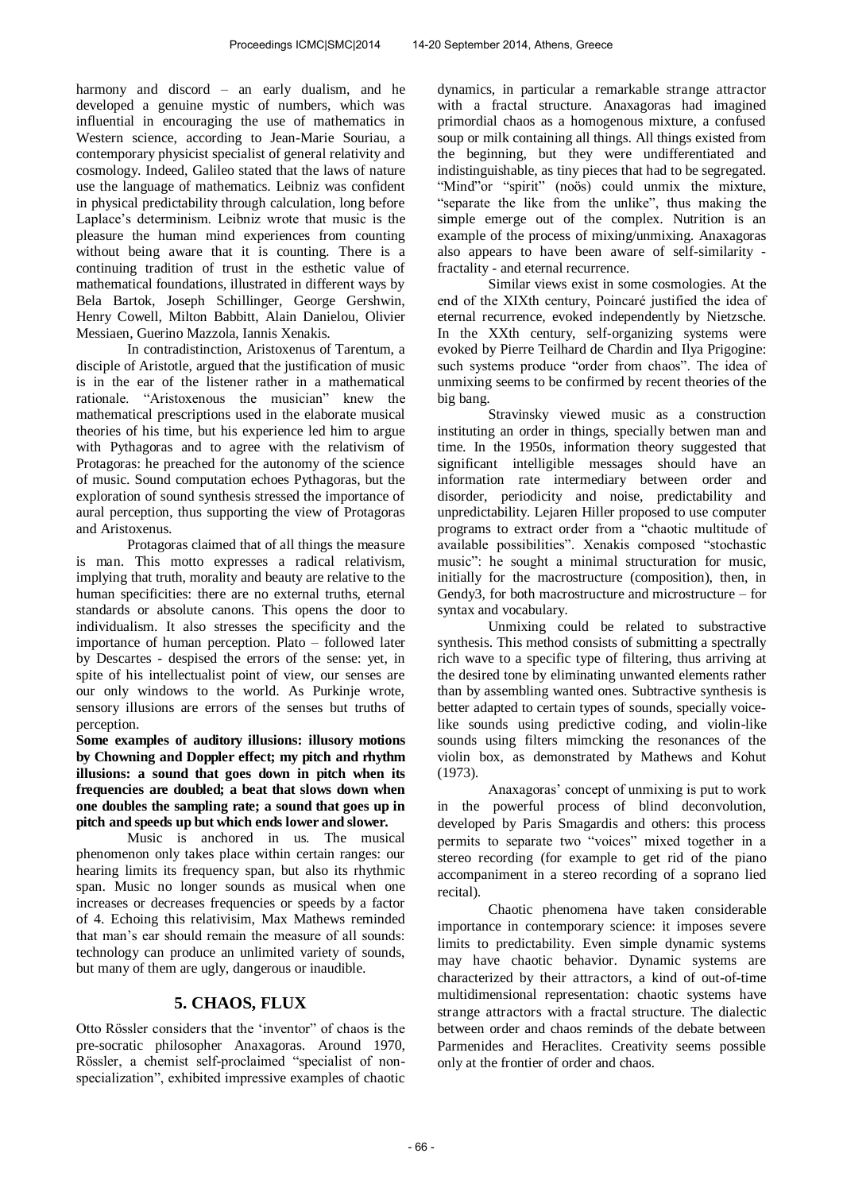harmony and discord – an early dualism, and he developed a genuine mystic of numbers, which was influential in encouraging the use of mathematics in Western science, according to Jean-Marie Souriau, a contemporary physicist specialist of general relativity and cosmology. Indeed, Galileo stated that the laws of nature use the language of mathematics. Leibniz was confident in physical predictability through calculation, long before Laplace's determinism. Leibniz wrote that music is the pleasure the human mind experiences from counting without being aware that it is counting. There is a continuing tradition of trust in the esthetic value of mathematical foundations, illustrated in different ways by Bela Bartok, Joseph Schillinger, George Gershwin, Henry Cowell, Milton Babbitt, Alain Danielou, Olivier Messiaen, Guerino Mazzola, Iannis Xenakis.

 In contradistinction, Aristoxenus of Tarentum, a disciple of Aristotle, argued that the justification of music is in the ear of the listener rather in a mathematical rationale. "Aristoxenous the musician" knew the mathematical prescriptions used in the elaborate musical theories of his time, but his experience led him to argue with Pythagoras and to agree with the relativism of Protagoras: he preached for the autonomy of the science of music. Sound computation echoes Pythagoras, but the exploration of sound synthesis stressed the importance of aural perception, thus supporting the view of Protagoras and Aristoxenus.

 Protagoras claimed that of all things the measure is man. This motto expresses a radical relativism, implying that truth, morality and beauty are relative to the human specificities: there are no external truths, eternal standards or absolute canons. This opens the door to individualism. It also stresses the specificity and the importance of human perception. Plato – followed later by Descartes - despised the errors of the sense: yet, in spite of his intellectualist point of view, our senses are our only windows to the world. As Purkinje wrote, sensory illusions are errors of the senses but truths of perception.

**Some examples of auditory illusions: illusory motions by Chowning and Doppler effect; my pitch and rhythm illusions: a sound that goes down in pitch when its frequencies are doubled; a beat that slows down when one doubles the sampling rate; a sound that goes up in pitch and speeds up but which ends lower and slower.** 

 Music is anchored in us. The musical phenomenon only takes place within certain ranges: our hearing limits its frequency span, but also its rhythmic span. Music no longer sounds as musical when one increases or decreases frequencies or speeds by a factor of 4. Echoing this relativisim, Max Mathews reminded that man's ear should remain the measure of all sounds: technology can produce an unlimited variety of sounds, but many of them are ugly, dangerous or inaudible.

# **5. CHAOS, FLUX**

Otto Rössler considers that the 'inventor" of chaos is the pre-socratic philosopher Anaxagoras. Around 1970, Rössler, a chemist self-proclaimed "specialist of nonspecialization", exhibited impressive examples of chaotic dynamics, in particular a remarkable strange attractor with a fractal structure. Anaxagoras had imagined primordial chaos as a homogenous mixture, a confused soup or milk containing all things. All things existed from the beginning, but they were undifferentiated and indistinguishable, as tiny pieces that had to be segregated. "Mind"or "spirit" (noös) could unmix the mixture, "separate the like from the unlike", thus making the simple emerge out of the complex. Nutrition is an example of the process of mixing/unmixing. Anaxagoras also appears to have been aware of self-similarity fractality - and eternal recurrence.

 Similar views exist in some cosmologies. At the end of the XIXth century, Poincaré justified the idea of eternal recurrence, evoked independently by Nietzsche. In the XXth century, self-organizing systems were evoked by Pierre Teilhard de Chardin and Ilya Prigogine: such systems produce "order from chaos". The idea of unmixing seems to be confirmed by recent theories of the big bang.

 Stravinsky viewed music as a construction instituting an order in things, specially betwen man and time. In the 1950s, information theory suggested that significant intelligible messages should have an information rate intermediary between order and disorder, periodicity and noise, predictability and unpredictability. Lejaren Hiller proposed to use computer programs to extract order from a "chaotic multitude of available possibilities". Xenakis composed "stochastic music": he sought a minimal structuration for music, initially for the macrostructure (composition), then, in Gendy3, for both macrostructure and microstructure – for syntax and vocabulary.

 Unmixing could be related to substractive synthesis. This method consists of submitting a spectrally rich wave to a specific type of filtering, thus arriving at the desired tone by eliminating unwanted elements rather than by assembling wanted ones. Subtractive synthesis is better adapted to certain types of sounds, specially voicelike sounds using predictive coding, and violin-like sounds using filters mimcking the resonances of the violin box, as demonstrated by Mathews and Kohut (1973).

 Anaxagoras' concept of unmixing is put to work in the powerful process of blind deconvolution, developed by Paris Smagardis and others: this process permits to separate two "voices" mixed together in a stereo recording (for example to get rid of the piano accompaniment in a stereo recording of a soprano lied recital).

 Chaotic phenomena have taken considerable importance in contemporary science: it imposes severe limits to predictability. Even simple dynamic systems may have chaotic behavior. Dynamic systems are characterized by their attractors, a kind of out-of-time multidimensional representation: chaotic systems have strange attractors with a fractal structure. The dialectic between order and chaos reminds of the debate between Parmenides and Heraclites. Creativity seems possible only at the frontier of order and chaos.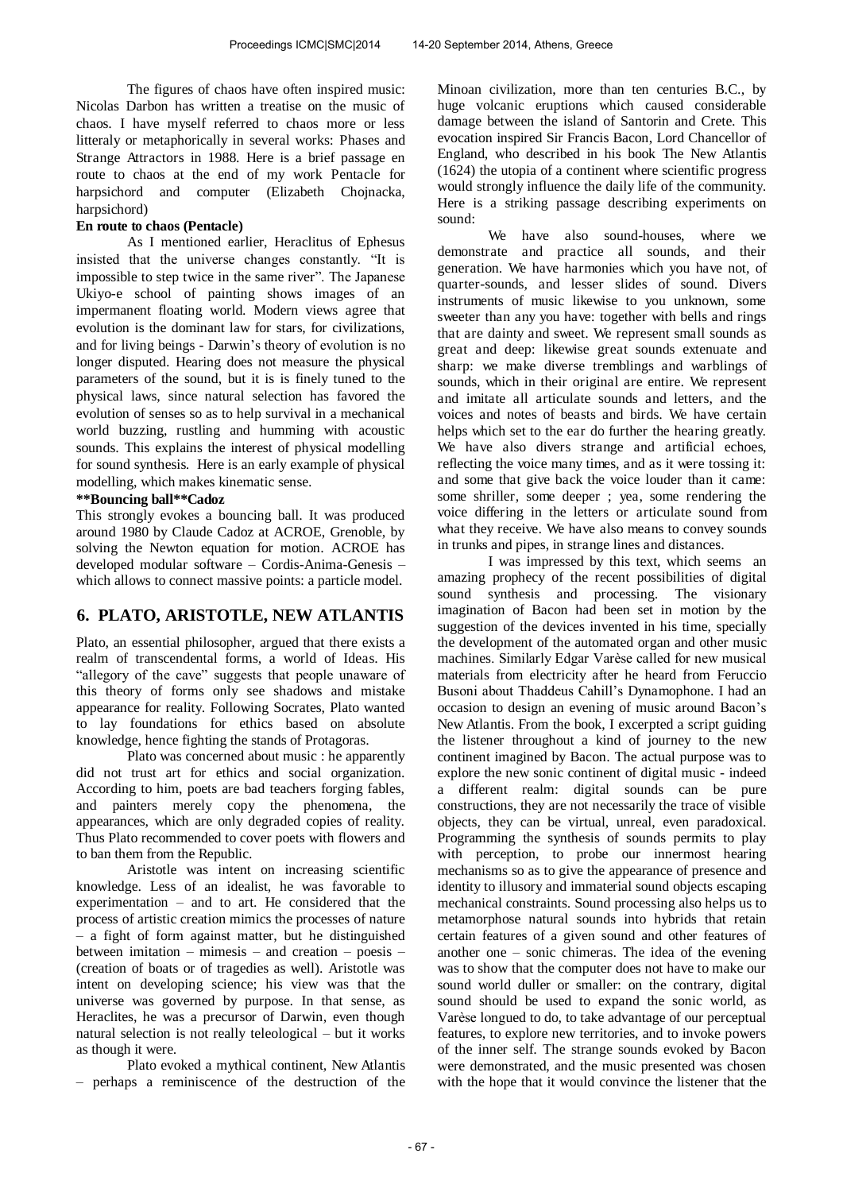The figures of chaos have often inspired music: Nicolas Darbon has written a treatise on the music of chaos. I have myself referred to chaos more or less litteraly or metaphorically in several works: Phases and Strange Attractors in 1988. Here is a brief passage en route to chaos at the end of my work Pentacle for harpsichord and computer (Elizabeth Chojnacka, harpsichord)

#### **En route to chaos (Pentacle)**

 As I mentioned earlier, Heraclitus of Ephesus insisted that the universe changes constantly. "It is impossible to step twice in the same river". The Japanese Ukiyo-e school of painting shows images of an impermanent floating world. Modern views agree that evolution is the dominant law for stars, for civilizations, and for living beings - Darwin's theory of evolution is no longer disputed. Hearing does not measure the physical parameters of the sound, but it is is finely tuned to the physical laws, since natural selection has favored the evolution of senses so as to help survival in a mechanical world buzzing, rustling and humming with acoustic sounds. This explains the interest of physical modelling for sound synthesis. Here is an early example of physical modelling, which makes kinematic sense.

#### **\*\*Bouncing ball\*\*Cadoz**

This strongly evokes a bouncing ball. It was produced around 1980 by Claude Cadoz at ACROE, Grenoble, by solving the Newton equation for motion. ACROE has developed modular software – Cordis-Anima-Genesis – which allows to connect massive points: a particle model.

### **6. PLATO, ARISTOTLE, NEW ATLANTIS**

Plato, an essential philosopher, argued that there exists a realm of transcendental forms, a world of Ideas. His "allegory of the cave" suggests that people unaware of this theory of forms only see shadows and mistake appearance for reality. Following Socrates, Plato wanted to lay foundations for ethics based on absolute knowledge, hence fighting the stands of Protagoras.

 Plato was concerned about music : he apparently did not trust art for ethics and social organization. According to him, poets are bad teachers forging fables, and painters merely copy the phenomena, the appearances, which are only degraded copies of reality. Thus Plato recommended to cover poets with flowers and to ban them from the Republic.

 Aristotle was intent on increasing scientific knowledge. Less of an idealist, he was favorable to experimentation – and to art. He considered that the process of artistic creation mimics the processes of nature – a fight of form against matter, but he distinguished between imitation – mimesis – and creation – poesis – (creation of boats or of tragedies as well). Aristotle was intent on developing science; his view was that the universe was governed by purpose. In that sense, as Heraclites, he was a precursor of Darwin, even though natural selection is not really teleological – but it works as though it were.

 Plato evoked a mythical continent, New Atlantis – perhaps a reminiscence of the destruction of the Minoan civilization, more than ten centuries B.C., by huge volcanic eruptions which caused considerable damage between the island of Santorin and Crete. This evocation inspired Sir Francis Bacon, Lord Chancellor of England, who described in his book The New Atlantis (1624) the utopia of a continent where scientific progress would strongly influence the daily life of the community. Here is a striking passage describing experiments on sound:

 We have also sound-houses, where we demonstrate and practice all sounds, and their generation. We have harmonies which you have not, of quarter-sounds, and lesser slides of sound. Divers instruments of music likewise to you unknown, some sweeter than any you have: together with bells and rings that are dainty and sweet. We represent small sounds as great and deep: likewise great sounds extenuate and sharp: we make diverse tremblings and warblings of sounds, which in their original are entire. We represent and imitate all articulate sounds and letters, and the voices and notes of beasts and birds. We have certain helps which set to the ear do further the hearing greatly. We have also divers strange and artificial echoes, reflecting the voice many times, and as it were tossing it: and some that give back the voice louder than it came: some shriller, some deeper ; yea, some rendering the voice differing in the letters or articulate sound from what they receive. We have also means to convey sounds in trunks and pipes, in strange lines and distances.

 I was impressed by this text, which seems an amazing prophecy of the recent possibilities of digital sound synthesis and processing. The visionary imagination of Bacon had been set in motion by the suggestion of the devices invented in his time, specially the development of the automated organ and other music machines. Similarly Edgar Varèse called for new musical materials from electricity after he heard from Feruccio Busoni about Thaddeus Cahill's Dynamophone. I had an occasion to design an evening of music around Bacon's New Atlantis. From the book, I excerpted a script guiding the listener throughout a kind of journey to the new continent imagined by Bacon. The actual purpose was to explore the new sonic continent of digital music - indeed a different realm: digital sounds can be pure constructions, they are not necessarily the trace of visible objects, they can be virtual, unreal, even paradoxical. Programming the synthesis of sounds permits to play with perception, to probe our innermost hearing mechanisms so as to give the appearance of presence and identity to illusory and immaterial sound objects escaping mechanical constraints. Sound processing also helps us to metamorphose natural sounds into hybrids that retain certain features of a given sound and other features of another one – sonic chimeras. The idea of the evening was to show that the computer does not have to make our sound world duller or smaller: on the contrary, digital sound should be used to expand the sonic world, as Varèse longued to do, to take advantage of our perceptual features, to explore new territories, and to invoke powers of the inner self. The strange sounds evoked by Bacon were demonstrated, and the music presented was chosen with the hope that it would convince the listener that the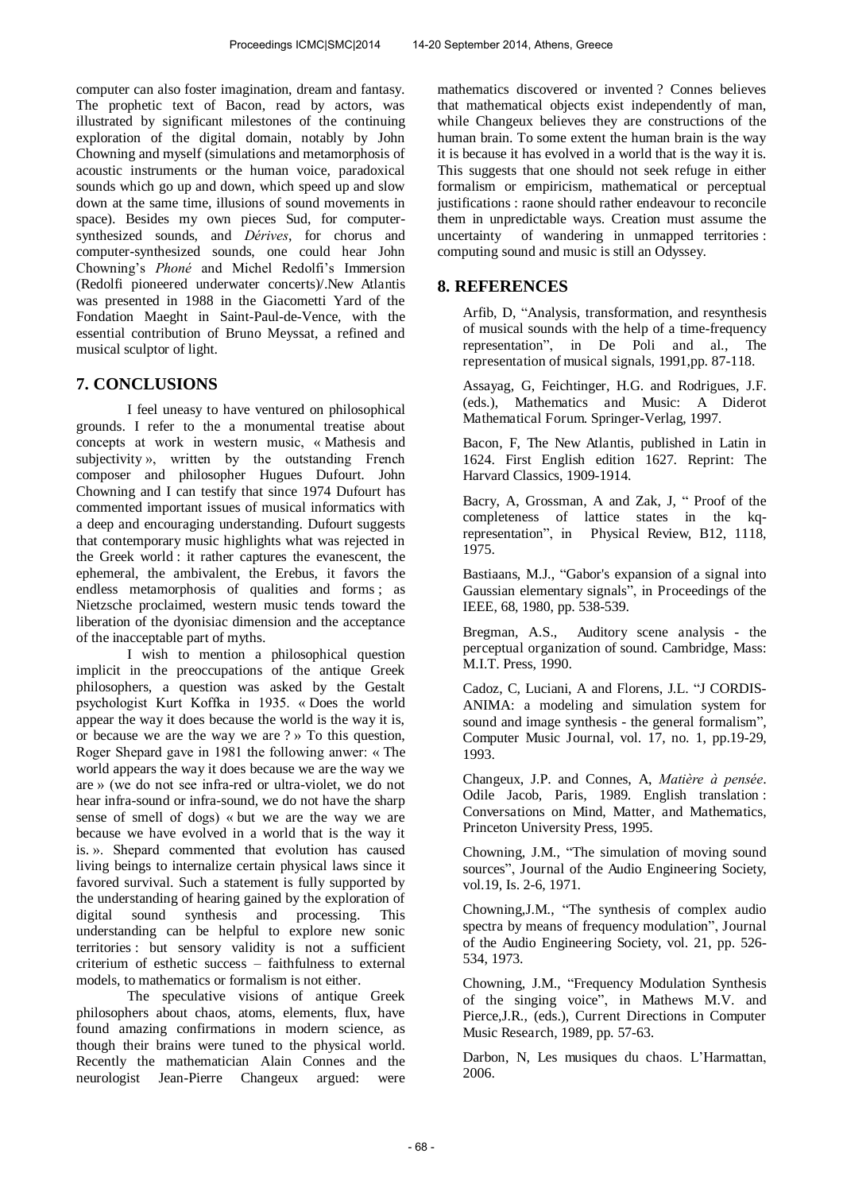computer can also foster imagination, dream and fantasy. The prophetic text of Bacon, read by actors, was illustrated by significant milestones of the continuing exploration of the digital domain, notably by John Chowning and myself (simulations and metamorphosis of acoustic instruments or the human voice, paradoxical sounds which go up and down, which speed up and slow down at the same time, illusions of sound movements in space). Besides my own pieces Sud, for computersynthesized sounds, and *Dérives*, for chorus and computer-synthesized sounds, one could hear John Chowning's *Phoné* and Michel Redolfi's Immersion (Redolfi pioneered underwater concerts)/.New Atlantis was presented in 1988 in the Giacometti Yard of the Fondation Maeght in Saint-Paul-de-Vence, with the essential contribution of Bruno Meyssat, a refined and musical sculptor of light.

# **7. CONCLUSIONS**

 I feel uneasy to have ventured on philosophical grounds. I refer to the a monumental treatise about concepts at work in western music, « Mathesis and subjectivity », written by the outstanding French composer and philosopher Hugues Dufourt. John Chowning and I can testify that since 1974 Dufourt has commented important issues of musical informatics with a deep and encouraging understanding. Dufourt suggests that contemporary music highlights what was rejected in the Greek world : it rather captures the evanescent, the ephemeral, the ambivalent, the Erebus, it favors the endless metamorphosis of qualities and forms ; as Nietzsche proclaimed, western music tends toward the liberation of the dyonisiac dimension and the acceptance of the inacceptable part of myths.

 I wish to mention a philosophical question implicit in the preoccupations of the antique Greek philosophers, a question was asked by the Gestalt psychologist Kurt Koffka in 1935. « Does the world appear the way it does because the world is the way it is, or because we are the way we are ? » To this question, Roger Shepard gave in 1981 the following anwer: « The world appears the way it does because we are the way we are » (we do not see infra-red or ultra-violet, we do not hear infra-sound or infra-sound, we do not have the sharp sense of smell of dogs) « but we are the way we are because we have evolved in a world that is the way it is. ». Shepard commented that evolution has caused living beings to internalize certain physical laws since it favored survival. Such a statement is fully supported by the understanding of hearing gained by the exploration of digital sound synthesis and processing. This understanding can be helpful to explore new sonic territories : but sensory validity is not a sufficient criterium of esthetic success – faithfulness to external models, to mathematics or formalism is not either.

 The speculative visions of antique Greek philosophers about chaos, atoms, elements, flux, have found amazing confirmations in modern science, as though their brains were tuned to the physical world. Recently the mathematician Alain Connes and the neurologist Jean-Pierre Changeux argued: were mathematics discovered or invented ? Connes believes that mathematical objects exist independently of man, while Changeux believes they are constructions of the human brain. To some extent the human brain is the way it is because it has evolved in a world that is the way it is. This suggests that one should not seek refuge in either formalism or empiricism, mathematical or perceptual justifications : raone should rather endeavour to reconcile them in unpredictable ways. Creation must assume the uncertainty of wandering in unmapped territories : computing sound and music is still an Odyssey.

# **8. REFERENCES**

Arfib, D, "Analysis, transformation, and resynthesis of musical sounds with the help of a time-frequency representation", in De Poli and al., The representation of musical signals, 1991,pp. 87-118.

Assayag, G, Feichtinger, H.G. and Rodrigues, J.F. (eds.), Mathematics and Music: A Diderot Mathematical Forum. Springer-Verlag, 1997.

Bacon, F, The New Atlantis, published in Latin in 1624. First English edition 1627. Reprint: The Harvard Classics, 1909-1914.

Bacry, A, Grossman, A and Zak, J, " Proof of the completeness of lattice states in the kqrepresentation", in Physical Review, B12, 1118, 1975.

Bastiaans, M.J., "Gabor's expansion of a signal into Gaussian elementary signals", in Proceedings of the IEEE, 68, 1980, pp. 538-539.

Bregman, A.S., Auditory scene analysis - the perceptual organization of sound. Cambridge, Mass: M.I.T. Press, 1990.

Cadoz, C, Luciani, A and Florens, J.L. "J CORDIS-ANIMA: a modeling and simulation system for sound and image synthesis - the general formalism", Computer Music Journal, vol. 17, no. 1, pp.19-29, 1993.

Changeux, J.P. and Connes, A, *Matière à pensée*. Odile Jacob, Paris, 1989. English translation : Conversations on Mind, Matter, and Mathematics, Princeton University Press, 1995.

Chowning, J.M., "The simulation of moving sound sources", Journal of the Audio Engineering Society, vol.19, Is. 2-6, 1971.

Chowning,J.M., "The synthesis of complex audio spectra by means of frequency modulation", Journal of the Audio Engineering Society, vol. 21, pp. 526- 534, 1973.

Chowning, J.M., "Frequency Modulation Synthesis of the singing voice", in Mathews M.V. and Pierce,J.R., (eds.), Current Directions in Computer Music Research, 1989, pp. 57-63.

Darbon, N, Les musiques du chaos. L'Harmattan, 2006.